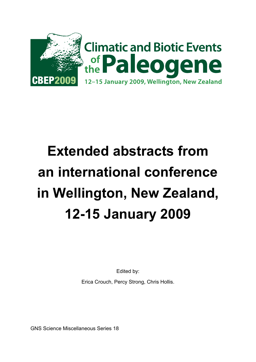

# **Extended abstracts from an international conference in Wellington, New Zealand, 12-15 January 2009**

Edited by:

Erica Crouch, Percy Strong, Chris Hollis.

GNS Science Miscellaneous Series 18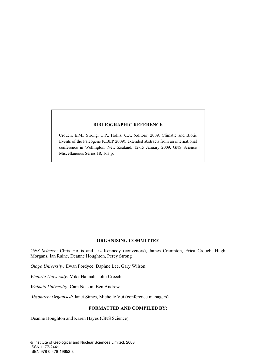#### **BIBLIOGRAPHIC REFERENCE**

Crouch, E.M., Strong, C.P., Hollis, C.J., (editors) 2009. Climatic and Biotic Events of the Paleogene (CBEP 2009), extended abstracts from an international conference in Wellington, New Zealand, 12-15 January 2009. GNS Science Miscellaneous Series 18, 163 p.

#### **ORGANISING COMMITTEE**

*GNS Science:* Chris Hollis and Liz Kennedy (convenors), James Crampton, Erica Crouch, Hugh Morgans, Ian Raine, Deanne Houghton, Percy Strong

*Otago University:* Ewan Fordyce, Daphne Lee, Gary Wilson

*Victoria University:* Mike Hannah, John Creech

*Waikato University:* Cam Nelson, Ben Andrew

*Absolutely Organised:* Janet Simes, Michelle Vui (conference managers)

#### **FORMATTED AND COMPILED BY:**

Deanne Houghton and Karen Hayes (GNS Science)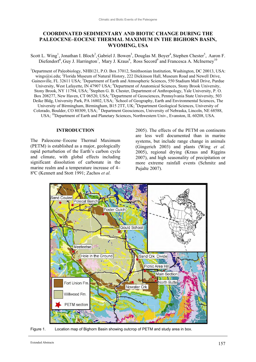# **COORDINATED SEDIMENTARY AND BIOTIC CHANGE DURING THE PALEOCENE–EOCENE THERMAL MAXIMUM IN THE BIGHORN BASIN, WYOMING, USA**

Scott L. Wing<sup>1</sup>, Jonathan I. Bloch<sup>2</sup>, Gabriel J. Bowen<sup>3</sup>, Douglas M. Boyer<sup>4</sup>, Stephen Chester<sup>5</sup>, Aaron F. Diefendorf<sup>6</sup>, Guy J. Harrington<sup>7</sup>, Mary J. Kraus<sup>8</sup>, Ross Secord<sup>9</sup> and Francesca A. McInerney<sup>10</sup>

<sup>1</sup>Department of Paleobiology, NHB121, P.O. Box 37012, Smithsonian Institution, Washington, DC 20013, USA: wings@si.edu; <sup>2</sup>Florida Museum of Natural History, 222 Dickinson Hall, Museum Road and Newell Drive, Gainesville, FL 32611 USA; <sup>3</sup>Department of Earth and Atmospheric Sciences, 550 Stadium Mall Drive, Purdue University, West Lafayette, IN 47907 USA; <sup>4</sup>Department of Anatomical Sciences, Stony Brook University, Stony Brook, NY 11794, USA; <sup>5</sup>Stephen G. B. Chester, Department of Anthropology, Yale University, P. O. Box 208277, New Haven, CT 06520, USA; <sup>6</sup>Department of Geosciences, Pennsylvania State University, 503 Deike Bldg, University Park, PA 16802, USA; <sup>7</sup>School of Geography, Earth and Environmental Sciences, The University of Birmingham, Birmingham, B15 2TT, UK; <sup>8</sup>Department Geological Sciences, University of Colorado, Boulder, CO 80309, USA;<sup>9</sup> Department Geosciences, University of Nebraska, Lincoln, NE 68588, USA; 10Department of Earth and Planetary Sciences, Northwestern Univ., Evanston, IL 60208, USA.

#### **INTRODUCTION**

The Paleocene–Eocene Thermal Maximum (PETM) is established as a major, geologically rapid perturbation of the Earth's carbon cycle and climate, with global effects including significant dissolution of carbonate in the marine realm and a temperature increase of 4– 8ºC (Kennett and Stott 1991; Zachos *et al.*

2005). The effects of the PETM on continents are less well documented than in marine systems, but include range change in animals (Gingerich 2003) and plants (Wing *et al.* 2005), regional drying (Kraus and Riggins 2007), and high seasonality of precipitation or more extreme rainfall events (Schmitz and Pujalte 2007).



Figure 1. Location map of Bighorn Basin showing outcrop of PETM and study area in box.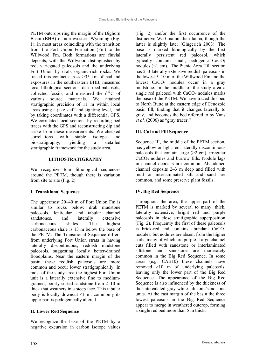PETM outcrops ring the margin of the Bighorn Basin (BHB) of northwestern Wyoming (Fig. 1), in most areas coinciding with the transition from the Fort Union Formation (Fm) to the Willwood Fm. Both formations are fluvial deposits, with the Willwood distinguished by red, variegated paleosols and the underlying Fort Union by drab, organic-rich rocks. We traced this contact across >35 km of badland exposures in the southeastern BHB, measured local lithological sections, described paleosols, collected fossils, and measured the  $\delta^{13}C$  of various source materials. We attained stratigraphic precision of  $\pm 1$  m within local areas using a jake staff and sighting level, and by taking coordinates with a differential GPS. We correlated local sections by recording bed traces with the GPS and reconstructing dip and strike from these measurements. We checked correlations with stable isotope and biostratigraphy, yielding a detailed stratigraphic framework for the study area.

#### **LITHOSTRATIGRAPHY**

We recognize four lithological sequences around the PETM, though there is variation from site to site (Fig. 2).

# **I. Transitional Sequence**

The uppermost 20–40 m of Fort Union Fm is similar to rocks below: drab mudstone paleosols, lenticular and tabular channel sandstones, and laterally extensive carbonaceous shales. The highest carbonaceous shale is 13 m below the base of the PETM. The Transitional Sequence differs from underlying Fort Union strata in having laterally discontinuous, reddish mudstone paleosols, suggesting locally better-drained floodplains. Near the eastern margin of the basin these reddish paleosols are more common and occur lower stratigraphically. In most of the study area the highest Fort Union unit is a laterally extensive fine to mediumgrained, poorly-sorted sandstone from 2–10 m thick that weathers in a steep face. This tabular body is locally downcut <1 m; commonly its upper part is pedogenically altered.

# **II. Lower Red Sequence**

We recognize the base of the PETM by a negative excursion in carbon isotope values

(Fig. 2) and/or the first occurrence of the distinctive Wa0 mammalian fauna, though the latter is slightly later (Gingerich 2003). The base is marked lithologically by the first laterally persistent red paleosol, which typically contains small, pedogenic CaCO<sub>3</sub> nodules (<1 cm). The Picnic Area Hill section has 2–3 laterally extensive reddish paleosols in the lowest 5–10 m of the Willwood Fm and the lowest  $CaCO<sub>3</sub>$  nodules occur in a gray mudstone. In the middle of the study area a single red paleosol with  $CaCO<sub>3</sub>$  nodules marks the base of the PETM. We have traced this bed to North Butte at the eastern edge of Cenozoic basin fill, finding that it changes laterally to gray, and becomes the bed referred to by Yans *et al.* (2006) as "gray tracer."

# **III. Cut and Fill Sequence**

Sequence III, the middle of the PETM section, has yellow or light-red, laterally discontinuous paleosols that contain large  $(>2$  cm), irregular  $CaCO<sub>3</sub>$  nodules and burrow fills. Nodule lags in channel deposits are common. Abandoned channel deposits 2–3 m deep and filled with mud or interlaminated silt and sand are common, and some preserve plant fossils.

# **IV. Big Red Sequence**

Throughout the area, the upper part of the PETM is marked by several to many, thick, laterally extensive, bright red and purple paleosols in close stratigraphic superposition (Fig. 2). Frequently the first of these paleosols is brick-red and contains abundant  $CaCO<sub>3</sub>$ nodules, but nodules are absent from the higher soils, many of which are purple. Large channel cuts filled with sandstone or interlaminated siltstone and sandstone are moderately common in the Big Red Sequence. In some areas (e.g. CAB10) these channels have removed >10 m of underlying paleosols, leaving only the lower part of the Big Red Sequence. The appearance of the Big Red Sequence is also influenced by the thickness of the intercalated gray-white siltstone/sandstone units. At the east margin of the basin the three lowest paleosols in the Big Red Sequence appear to merge in weathered outcrop, forming a single red bed more than 5 m thick.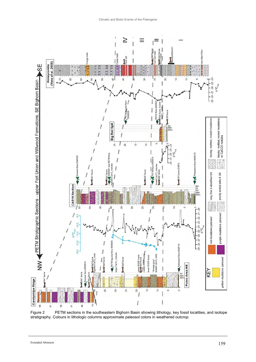

Figure 2 PETM sections in the southeastern Bighorn Basin showing lithology, key fossil localities, and isotope stratigraphy. Colours in lithologic columns approximate paleosol colors in weathered outcrop.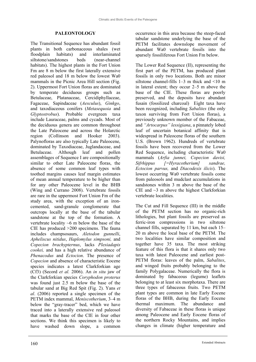#### **PALEONTOLOGY**

The Transitional Sequence has abundant fossil plants in both carbonaceous shales (wet floodplain habitats) and interlaminated siltstone/sandstones beds (near-channel habitats). The highest plants in the Fort Union Fm are 8 m below the first laterally extensive red paleosol and 18 m below the lowest Wa0 mammals in the Picnic Area Hill section (Fig. 2). Uppermost Fort Union floras are dominated by temperate deciduous groups such as Betulaceae, Platanaceae, Cercidiphyllaceae, Fagaceae, Sapindaceae (*Aesculus*), *Ginkgo*, and taxodiaceous conifers (*Metasequoia* and *Glyptostrobus*). Probable evergreen taxa include Lauraceae, palms and cycads. Most of the deciduous genera are common throughout the Late Paleocene and across the Holarctic region (Collinson and Hooker 2003). Palynofloras are also typically Late Paleocene, dominated by Taxodiaceae, Juglandaceae, and Betulaceae. Although leaf and pollen assemblages of Sequence I are compositionally similar to other Late Paleocene floras, the absence of some common leaf types with toothed margins causes leaf margin estimates of mean annual temperature to be higher than for any other Paleocene level in the BHB (Wing and Currano 2008). Vertebrate fossils are rare in the uppermost Fort Union Fm of the study area, with the exception of an ironcemented, sand-granule conglomerate that outcrops locally at the base of the tabular sandstone at the top of the formation. A vertebrate locality  $~6$  m below the base of the CIE has produced >200 specimens. The fauna includes champsosaurs, *Aletodon gunnelli*, *Apheliscus nitidus*, *Haplomylus simpsoni,* and *Copecion brachypternus*, lacks *Plesiadapis cookei,* and has a high relative abundance of *Phenacodus* and *Ectocion*. The presence of *Copecion* and absence of characteristic Eocene species indicates a latest Clarkforkian age (Cf3) (Secord *et al.* 2006). An *in situ* jaw of the Clarkforkian species *Coryphodon proterus* was found just 2.5 m below the base of the tabular sand at Big Red Spit (Fig. 2). Yans *et al*. (2006) reported a single specimen of the PETM index mammal, *Meniscotherium*, 3–4 m below the "gray-tracer" bed, which we have traced into a laterally extensive red paleosol that marks the base of the CIE in four other sections. We think this specimen is likely to have washed down slope, a common

occurrence in this area because the steep-faced tabular sandstone underlying the base of the PETM facilitates downslope movement of abundant Wa0 vertebrate fossils into the sparsely fossiliferous Fort Union Fm below.

The Lower Red Sequence (II), representing the first part of the PETM, has produced plant fossils in only two locations. Both are minor siltstone channel-fills 1–3 m thick and <10 m in lateral extent; they occur 2–5 m above the base of the CIE. These floras are poorly preserved, and the deposits have abundant fusain (fossilized charcoal) Eight taxa have been recognized, including *Sabalites* (the only taxon surviving from Fort Union floras), a previously unknown member of the Fabaceae, and *"Artocarpus" lessigiana*, a pinnately lobed leaf of uncertain botanical affinity that is widespread in Paleocene floras of the southern U.S. (Brown 1962). Hundreds of vertebrate fossils have been recovered from the Lower Red Sequence, including characteristic Wa0 mammals (*Arfia junnei, Copecion davisi, Sifrhippus [=Hyracotherium] sandrae, Ectocion parvus,* and *Diacodexis ilicis*). The lowest occurring Wa0 vertebrate fossils come from paleosols and mudclast accumulations in sandstones within 3 m above the base of the CIE and  $\sim$ 3 m above the highest Clarkforkian vertebrate localities.

The Cut and Fill Sequence (III) in the middle of the PETM section has no organic-rich lithologies, but plant fossils are preserved as ferric-iron compressions in two siltstone channel fills, separated by 11 km, but each 15– 20 m above the local base of the PETM. The two localities have similar composition and together have 35 taxa. The most striking feature of this flora is that it shares only two taxa with latest Paleocene and earliest post-PETM floras: leaves of the palm, *Sabalites*, and winged fruits probably belonging to the family Polygalaceae. Numerically the flora is dominated by fabaceous (legume) leaflets belonging to at least six morphotaxa. There are three types of fabaceous fruits. Two PETM plant types are common in late Early Eocene floras of the BHB, during the Early Eocene thermal maximum. The abundance and diversity of Fabaceae in these floras is unique among Paleocene and Early Eocene floras of the northern Rocky Mountains, and implies changes in climate (higher temperature and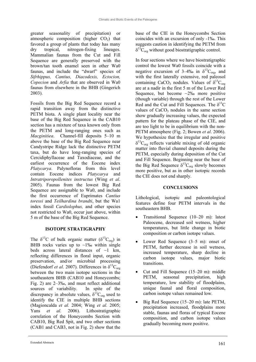greater seasonality of precipitation) or atmospheric composition (higher  $CO<sub>2</sub>$ ) that favored a group of plants that today has many dry tropical, nitrogen-fixing lineages. Mammalian faunas from the Cut and Fill Sequence are generally preserved with the brown/tan tooth enamel seen in other Wa0 faunas, and include the "dwarf" species of *Sifrhippus, Cantius, Diacodexis, Ectocion, Copecion* and *Arfia* that are observed in Wa0 faunas from elsewhere in the BHB (Gingerich 2003).

Fossils from the Big Red Sequence record a rapid transition away from the distinctive PETM biota. A single plant locality near the base of the Big Red Sequence in the CAB10 section has a mixture of taxa known only from the PETM and long-ranging ones such as *Macginitiea*. Channel-fill deposits 5–10 m above the base of the Big Red Sequence near Candystripe Ridge lack the distinctive PETM taxa, but do have long-ranging species of Cercidiphyllaceae and Taxodiaceae, and the earliest occurrence of the Eocene index *Platycarya*. Palynofloras from this level contain Eocene indices *Platycarya* and *Intratriporopollenites instructus* (Wing *et al*. 2005). Faunas from the lowest Big Red Sequence are assignable to Wa0, and include the first occurrence of Euprimates *Cantius toressi* and *Teilhardina brandti*, but the Wa1 index fossil *Cardiolophus,* and other species not restricted to Wa0, occur just above, within 5 m of the base of the Big Red Sequence.

# **ISOTOPE STRATIGRAPHY**

The  $\delta^{13}$ C of bulk organic matter ( $\delta^{13}$ C<sub>org</sub>) in BHB rocks varies up to  $\sim$ 1‰ within single beds across lateral distances of  $\sim$ 1 km, reflecting differences in floral input, organic preservation, and/or microbial processing (Diefendorf *et al.* 2007). Differences in  $\delta^{13}C_{\text{org}}$ between the two main isotope sections in the southeastern BHB (CAB10 and Honeycombs; Fig. 2) are 2–3‰, and must reflect additional sources of variability. In spite of the discrepancy in absolute values,  $\delta^{13}C_{org}$  used to identify the CIE in multiple BHB sections (Magioncalda *et al.* 2004; Wing *et al.* 2005; Yans *et al.* 2006). Lithostratigraphic correlation of the Honeycombs Section with CAB10, Big Red Spit, and two other sections (CAB1 and CAB3, not in Fig. 2) show that the

base of the CIE in the Honeycombs Section coincides with an excursion of only -1‰. This suggests caution in identifying the PETM from  $\delta^{13}C_{\text{org}}$  without good biostratigraphic control.

In four sections where we have biostratigraphic control the lowest Wa0 fossils coincide with a negative excursion of 3–4‰ in  $\delta^{13}C_{\text{org}}$ , and with the first laterally extensive, red paleosol containing CaCO<sub>3</sub> nodules. Values of  $\delta^{13}C_{\text{org}}$ are at a nadir in the first 5 m of the Lower Red Sequence, but become  $\sim$ 2‰ more positive (though variable) through the rest of the Lower Red and the Cut and Fill Sequences. The  $\delta^{13}C$ values of  $CaCO<sub>3</sub>$  nodules in the same section show gradually increasing values, the expected pattern for the plateau phase of the CIE, and are too light to be in equilibrium with the non-PETM atmosphere (Fig. 2; Bowen *et al*. 2006). We hypothesize that the irregular and positive  $\delta^{13}C_{\text{org}}$  reflects variable mixing of old organic matter into fluvial channel deposits during the PETM, especially during deposition of the Cut and Fill Sequence. Beginning near the base of the Big Red Sequence  $\delta^{13}C_{org}$  slowly becomes more positive, but as in other isotopic records the CIE does not end sharply.

# **CONCLUSIONS**

Lithological, isotopic and paleontological features define four PETM intervals in the southeastern BHB.

- ! Transitional Sequence (10–20 m): latest Paleocene, decreased soil wetness, higher temperatures, but little change in biotic composition or carbon isotope values.
- Lower Red Sequence (3–5 m): onset of PETM, further decrease in soil wetness, increased temperature, sharp decline in carbon isotope values, major biotic transitions.
- ! Cut and Fill Sequence (15–20 m): middle PETM, seasonal precipitation, high temperature, low stability of floodplains, unique faunal and floral composition, carbon isotope values remained low.
- $\bullet$  Big Red Sequence (15–20 m): late PETM, precipitation increased, floodplains more stable, faunas and floras of typical Eocene composition, and carbon isotope values gradually becoming more positive.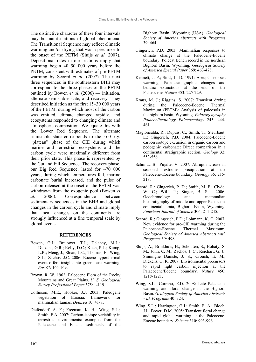The distinctive character of these four intervals may be manifestations of global phenomena. The Transitional Sequence may reflect climatic warming and/or drying that was a precursor to the onset of the PETM (Sluijs *et al.* 2007). Depositional rates in our sections imply that warming began 40–50 000 years before the PETM, consistent with estimates of pre-PETM warming by Secord *et al*. (2007). The next three sequences in the southeastern BHB may correspond to the three phases of the PETM outlined by Bowen *et al*. (2006) — initiation, alternate semistable state, and recovery. They described initiation as the first 15–30 000 years of the PETM, during which most of the carbon was emitted, climate changed rapidly, and ecosystems responded to changing climate and atmospheric composition. We equate this with the Lower Red Sequence. The alternate semistable state corresponds to the  $~60$  k.y. "plateau" phase of the CIE during which marine and terrestrial ecosystems and the carbon cycle were maximally different from their prior state. This phase is represented by the Cut and Fill Sequence. The recovery phase, our Big Red Sequence, lasted for ~70 000 years, during which temperatures fell, marine carbonate burial increased, and the pulse of carbon released at the onset of the PETM was withdrawn from the exogenic pool (Bowen *et al.* 2006). Correspondence between sedimentary sequences in the BHB and global changes in the carbon cycle and climate imply that local changes on the continents are strongly influenced at a fine temporal scale by global events.

#### **REFERENCES**

- Bowen, G.J.; Bralower, T.J.; Delaney, M.L.; Dickens, G.R.; Kelly, D.C.; Koch, P.L.; Kump, L.R.; Meng, J.; Sloan, L.C.; Thomas, E.; Wing, S.L.; Zachos, J.C. 2006: Eocene hyperthermal event offers insight into greenhouse warming. *Eos* 87: 165-169.
- Brown, R. W. 1962: Paleocene Flora of the Rocky Mountains and Great Plains. *U. S. Geological Survey Professional Paper* 375: 1-119.
- Collinson, M.E.; Hooker, J.J. 2003: Paleogene vegetation of Eurasia: framework for mammalian faunas. *Deinsea* 10: 41-83
- Diefendorf, A. F.; Freeman, K. H.; Wing, S.L.; Smith, F.A. 2007: Carbon-isotope variability in terrestrial environments: examples from the Paleocene and Eocene sediments of the

Bighorn Basin, Wyoming (USA). *Geological Society of America Abstracts with Programs*  39: 464.

- Gingerich, P.D. 2003: Mammalian responses to climate change at the Paleocene-Eocene boundary: Polecat Bench record in the northern Bighorn Basin, Wyoming. *Geological Society of America Special Paper* 369: 463-478.
- Kennett, J. P.; Stott, L. D. 1991: Abrupt deep-sea warming, Paleoceanographic changes and benthic extinctions at the end of the Palaeocene. *Nature* 353: 225-229.
- Kraus, M. J.; Riggins, S. 2007: Transient drying during the Paleocene-Eocene Thermal Maximum (PETM): Analysis of paleosols in the bighorn basin, Wyoming. *Palaeogeography Palaeoclimatology Palaeoecology* 245: 444- 461.
- Magioncalda, R.; Dupuis, C.; Smith, T.; Steurbaut, E.; Gingerich, P.D. 2004: Paleocene-Eocene carbon isotope excursion in organic carbon and pedogenic carbonate: Direct comparison in a continental stratigraphic section. *Geology* 32: 553-556.
- Schmitz, B.; Pujalte, V. 2007: Abrupt increase in seasonal extreme precipitation at the Paleocene-Eocene boundary. *Geology* 35: 215- 218.
- Secord, R.; Gingerich, P. D.; Smith, M. E.; Clyde, W. C.; Wilf, P.; Singer, B. S. 2006: Geochronology and mammalian biostratigraphy of middle and upper Paleocene continental strata, Bighorn Basin, Wyoming. *American Journal of Science* 306: 211-245.
- Secord, R.; Gingerich, P.D.; Lohmann, K. C. 2007: New evidence for pre-CIE warming during the Paleocene-Eocene Thermal Maximum. *Geological Society of America Abstracts with Programs* 39: 498.
- Sluijs, A.; Brinkhuis, H.; Schouten, S.; Bohaty, S. M.; John, C. M.; Zachos, J. C.; Reichart, G. J.; Sinninghe Damsté, J. S.; Crouch, E. M.; Dickens, G. R. 2007: Environmental precursors to rapid light carbon injection at the Palaeocene/Eocene boundary. *Nature* 450: 1218-1221.
- Wing, S.L.; Currano, E.D. 2008: Late Paleocene warming and floral change in the Bighorn Basin. *Geological Society of America Abstracts with Programs* 40: 324.
- Wing, S.L.; Harrington, G.J.; Smith, F. A.; Bloch, J.I.; Boyer, D.M. 2005: Transient floral change and rapid global warming at the Paleocene-Eocene boundary. *Science* 310: 993-996.